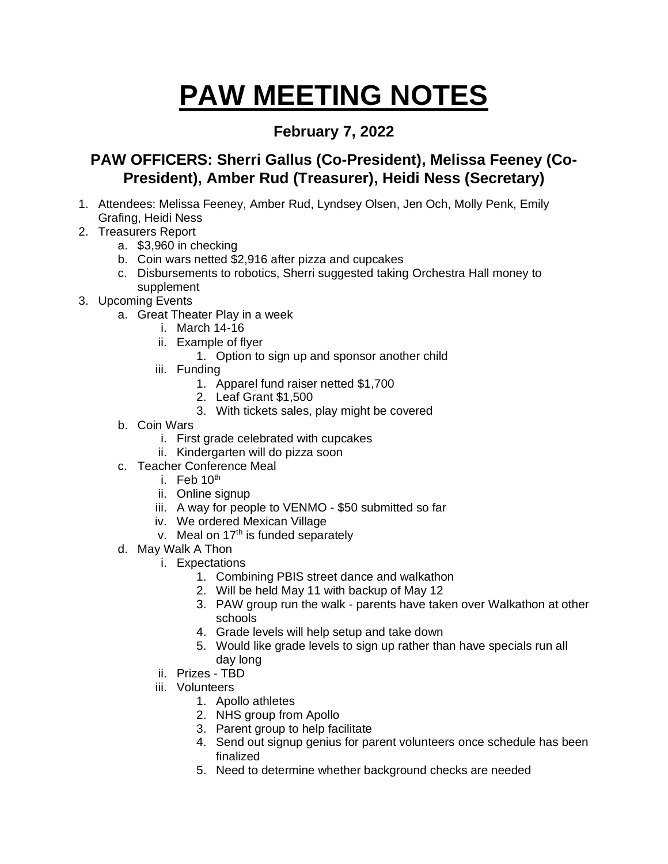## **PAW MEETING NOTES**

## **February 7, 2022**

## **PAW OFFICERS: Sherri Gallus (Co-President), Melissa Feeney (Co-President), Amber Rud (Treasurer), Heidi Ness (Secretary)**

- 1. Attendees: Melissa Feeney, Amber Rud, Lyndsey Olsen, Jen Och, Molly Penk, Emily Grafing, Heidi Ness
- 2. Treasurers Report
	- a. \$3,960 in checking
	- b. Coin wars netted \$2,916 after pizza and cupcakes
	- c. Disbursements to robotics, Sherri suggested taking Orchestra Hall money to supplement
- 3. Upcoming Events
	- a. Great Theater Play in a week
		- i. March 14-16
		- ii. Example of flyer
			- 1. Option to sign up and sponsor another child
		- iii. Funding
			- 1. Apparel fund raiser netted \$1,700
			- 2. Leaf Grant \$1,500
			- 3. With tickets sales, play might be covered
	- b. Coin Wars
		- i. First grade celebrated with cupcakes
		- ii. Kindergarten will do pizza soon
	- c. Teacher Conference Meal
		- i. Feb  $10<sup>th</sup>$
		- ii. Online signup
		- iii. A way for people to VENMO \$50 submitted so far
		- iv. We ordered Mexican Village
		- v. Meal on  $17<sup>th</sup>$  is funded separately
	- d. May Walk A Thon
		- i. Expectations
			- 1. Combining PBIS street dance and walkathon
			- 2. Will be held May 11 with backup of May 12
			- 3. PAW group run the walk parents have taken over Walkathon at other schools
			- 4. Grade levels will help setup and take down
			- 5. Would like grade levels to sign up rather than have specials run all day long
		- ii. Prizes TBD
		- iii. Volunteers
			- 1. Apollo athletes
			- 2. NHS group from Apollo
			- 3. Parent group to help facilitate
			- 4. Send out signup genius for parent volunteers once schedule has been finalized
			- 5. Need to determine whether background checks are needed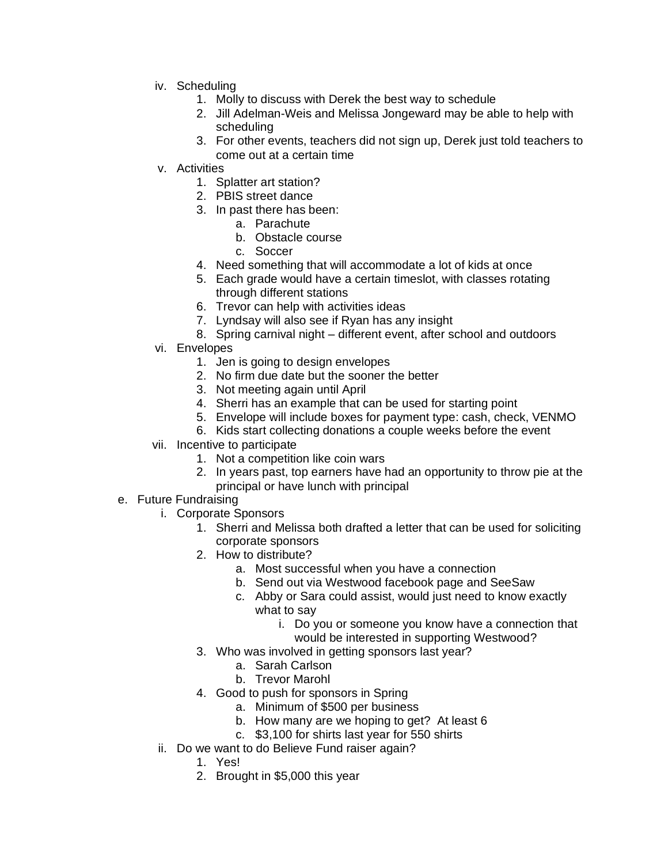- iv. Scheduling
	- 1. Molly to discuss with Derek the best way to schedule
	- 2. Jill Adelman-Weis and Melissa Jongeward may be able to help with scheduling
	- 3. For other events, teachers did not sign up, Derek just told teachers to come out at a certain time
- v. Activities
	- 1. Splatter art station?
	- 2. PBIS street dance
	- 3. In past there has been:
		- a. Parachute
		- b. Obstacle course
		- c. Soccer
	- 4. Need something that will accommodate a lot of kids at once
	- 5. Each grade would have a certain timeslot, with classes rotating through different stations
	- 6. Trevor can help with activities ideas
	- 7. Lyndsay will also see if Ryan has any insight
	- 8. Spring carnival night different event, after school and outdoors
- vi. Envelopes
	- 1. Jen is going to design envelopes
	- 2. No firm due date but the sooner the better
	- 3. Not meeting again until April
	- 4. Sherri has an example that can be used for starting point
	- 5. Envelope will include boxes for payment type: cash, check, VENMO
	- 6. Kids start collecting donations a couple weeks before the event
- vii. Incentive to participate
	- 1. Not a competition like coin wars
	- 2. In years past, top earners have had an opportunity to throw pie at the principal or have lunch with principal
- e. Future Fundraising
	- i. Corporate Sponsors
		- 1. Sherri and Melissa both drafted a letter that can be used for soliciting corporate sponsors
		- 2. How to distribute?
			- a. Most successful when you have a connection
			- b. Send out via Westwood facebook page and SeeSaw
			- c. Abby or Sara could assist, would just need to know exactly what to say
				- i. Do you or someone you know have a connection that would be interested in supporting Westwood?
		- 3. Who was involved in getting sponsors last year?
			- a. Sarah Carlson
			- b. Trevor Marohl
		- 4. Good to push for sponsors in Spring
			- a. Minimum of \$500 per business
			- b. How many are we hoping to get? At least 6
			- c. \$3,100 for shirts last year for 550 shirts
	- ii. Do we want to do Believe Fund raiser again?
		- 1. Yes!
		- 2. Brought in \$5,000 this year